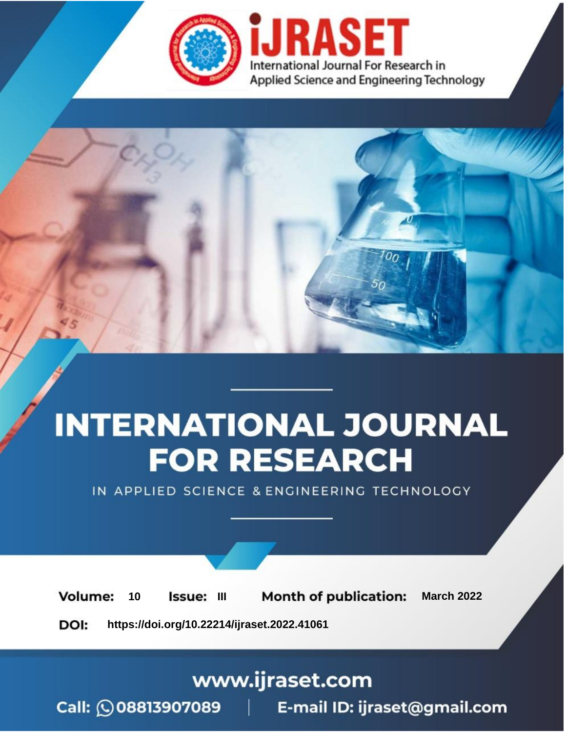

# **INTERNATIONAL JOURNAL FOR RESEARCH**

IN APPLIED SCIENCE & ENGINEERING TECHNOLOGY

10 **Issue: III Month of publication:** March 2022 **Volume:** 

**https://doi.org/10.22214/ijraset.2022.41061**DOI:

www.ijraset.com

Call: 008813907089 | E-mail ID: ijraset@gmail.com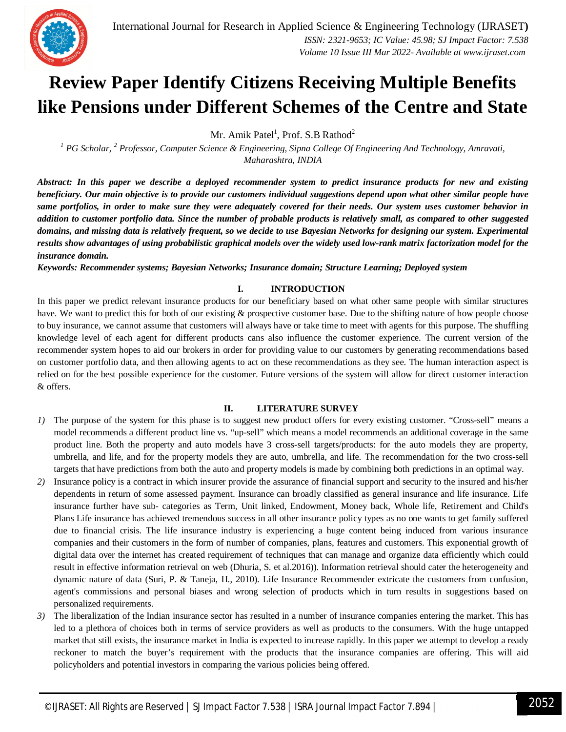

### **Review Paper Identify Citizens Receiving Multiple Benefits like Pensions under Different Schemes of the Centre and State**

Mr. Amik Patel<sup>1</sup>, Prof. S.B Rathod<sup>2</sup>

*<sup>1</sup> PG Scholar, <sup>2</sup> Professor, Computer Science & Engineering, Sipna College Of Engineering And Technology, Amravati, Maharashtra, INDIA*

*Abstract: In this paper we describe a deployed recommender system to predict insurance products for new and existing beneficiary. Our main objective is to provide our customers individual suggestions depend upon what other similar people have same portfolios, in order to make sure they were adequately covered for their needs. Our system uses customer behavior in addition to customer portfolio data. Since the number of probable products is relatively small, as compared to other suggested domains, and missing data is relatively frequent, so we decide to use Bayesian Networks for designing our system. Experimental results show advantages of using probabilistic graphical models over the widely used low-rank matrix factorization model for the insurance domain.*

*Keywords: Recommender systems; Bayesian Networks; Insurance domain; Structure Learning; Deployed system*

#### **I. INTRODUCTION**

In this paper we predict relevant insurance products for our beneficiary based on what other same people with similar structures have. We want to predict this for both of our existing & prospective customer base. Due to the shifting nature of how people choose to buy insurance, we cannot assume that customers will always have or take time to meet with agents for this purpose. The shuffling knowledge level of each agent for different products cans also influence the customer experience. The current version of the recommender system hopes to aid our brokers in order for providing value to our customers by generating recommendations based on customer portfolio data, and then allowing agents to act on these recommendations as they see. The human interaction aspect is relied on for the best possible experience for the customer. Future versions of the system will allow for direct customer interaction & offers.

#### **II. LITERATURE SURVEY**

- *1)* The purpose of the system for this phase is to suggest new product offers for every existing customer. "Cross-sell" means a model recommends a different product line vs. "up-sell" which means a model recommends an additional coverage in the same product line. Both the property and auto models have 3 cross-sell targets/products: for the auto models they are property, umbrella, and life, and for the property models they are auto, umbrella, and life. The recommendation for the two cross-sell targets that have predictions from both the auto and property models is made by combining both predictions in an optimal way.
- *2)* Insurance policy is a contract in which insurer provide the assurance of financial support and security to the insured and his/her dependents in return of some assessed payment. Insurance can broadly classified as general insurance and life insurance. Life insurance further have sub- categories as Term, Unit linked, Endowment, Money back, Whole life, Retirement and Child's Plans Life insurance has achieved tremendous success in all other insurance policy types as no one wants to get family suffered due to financial crisis. The life insurance industry is experiencing a huge content being induced from various insurance companies and their customers in the form of number of companies, plans, features and customers. This exponential growth of digital data over the internet has created requirement of techniques that can manage and organize data efficiently which could result in effective information retrieval on web (Dhuria, S. et al.2016)). Information retrieval should cater the heterogeneity and dynamic nature of data (Suri, P. & Taneja, H., 2010). Life Insurance Recommender extricate the customers from confusion, agent's commissions and personal biases and wrong selection of products which in turn results in suggestions based on personalized requirements.
- *3)* The liberalization of the Indian insurance sector has resulted in a number of insurance companies entering the market. This has led to a plethora of choices both in terms of service providers as well as products to the consumers. With the huge untapped market that still exists, the insurance market in India is expected to increase rapidly. In this paper we attempt to develop a ready reckoner to match the buyer's requirement with the products that the insurance companies are offering. This will aid policyholders and potential investors in comparing the various policies being offered.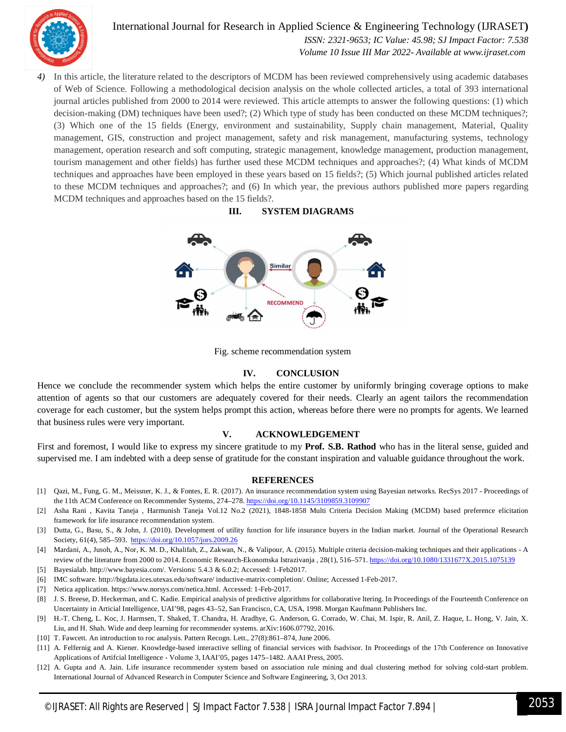

International Journal for Research in Applied Science & Engineering Technology (IJRASET**)**  *ISSN: 2321-9653; IC Value: 45.98; SJ Impact Factor: 7.538 Volume 10 Issue III Mar 2022- Available at www.ijraset.com*

*4)* In this article, the literature related to the descriptors of MCDM has been reviewed comprehensively using academic databases of Web of Science. Following a methodological decision analysis on the whole collected articles, a total of 393 international journal articles published from 2000 to 2014 were reviewed. This article attempts to answer the following questions: (1) which decision-making (DM) techniques have been used?; (2) Which type of study has been conducted on these MCDM techniques?; (3) Which one of the 15 fields (Energy, environment and sustainability, Supply chain management, Material, Quality management, GIS, construction and project management, safety and risk management, manufacturing systems, technology management, operation research and soft computing, strategic management, knowledge management, production management, tourism management and other fields) has further used these MCDM techniques and approaches?; (4) What kinds of MCDM techniques and approaches have been employed in these years based on 15 fields?; (5) Which journal published articles related to these MCDM techniques and approaches?; and (6) In which year, the previous authors published more papers regarding MCDM techniques and approaches based on the 15 fields?.

#### **III. SYSTEM DIAGRAMS**



Fig. scheme recommendation system

#### **IV. CONCLUSION**

Hence we conclude the recommender system which helps the entire customer by uniformly bringing coverage options to make attention of agents so that our customers are adequately covered for their needs. Clearly an agent tailors the recommendation coverage for each customer, but the system helps prompt this action, whereas before there were no prompts for agents. We learned that business rules were very important.

#### **V. ACKNOWLEDGEMENT**

First and foremost, I would like to express my sincere gratitude to my **Prof. S.B. Rathod** who has in the literal sense, guided and supervised me. I am indebted with a deep sense of gratitude for the constant inspiration and valuable guidance throughout the work.

#### **REFERENCES**

- [1] Qazi, M., Fung, G. M., Meissner, K. J., & Fontes, E. R. (2017). An insurance recommendation system using Bayesian networks. RecSys 2017 Proceedings of the 11th ACM Conference on Recommender Systems, 274-278. https://doi.org/10.1145/3109859.3109907
- [2] Asha Rani , Kavita Taneja , Harmunish Taneja Vol.12 No.2 (2021), 1848-1858 Multi Criteria Decision Making (MCDM) based preference elicitation framework for life insurance recommendation system.
- [3] Dutta, G., Basu, S., & John, J. (2010). Development of utility function for life insurance buyers in the Indian market. Journal of the Operational Research Society, 61(4), 585–593. https://doi.org/10.1057/jors.2009.26
- [4] Mardani, A., Jusoh, A., Nor, K. M. D., Khalifah, Z., Zakwan, N., & Valipour, A. (2015). Multiple criteria decision-making techniques and their applications A review of the literature from 2000 to 2014. Economic Research-Ekonomska Istrazivanja , 28(1), 516–571. https://doi.org/10.1080/1331677X.2015.1075139
- [5] Bayesialab. http://www.bayesia.com/. Versions: 5.4.3 & 6.0.2; Accessed: 1-Feb2017.
- [6] IMC software. http://bigdata.ices.utexas.edu/software/ inductive-matrix-completion/. Online; Accessed 1-Feb-2017.
- [7] Netica application. https://www.norsys.com/netica.html. Accessed: 1-Feb-2017.
- [8] J. S. Breese, D. Heckerman, and C. Kadie. Empirical analysis of predictive algorithms for collaborative ltering. In Proceedings of the Fourteenth Conference on Uncertainty in Articial Intelligence, UAI'98, pages 43–52, San Francisco, CA, USA, 1998. Morgan Kaufmann Publishers Inc.
- [9] H.-T. Cheng, L. Koc, J. Harmsen, T. Shaked, T. Chandra, H. Aradhye, G. Anderson, G. Corrado, W. Chai, M. Ispir, R. Anil, Z. Haque, L. Hong, V. Jain, X. Liu, and H. Shah. Wide and deep learning for recommender systems. arXiv:1606.07792, 2016.
- [10] T. Fawcett. An introduction to roc analysis. Pattern Recogn. Lett., 27(8):861–874, June 2006.
- [11] A. Felfernig and A. Kiener. Knowledge-based interactive selling of financial services with fsadvisor. In Proceedings of the 17th Conference on Innovative Applications of Artifcial Intelligence - Volume 3, IAAI'05, pages 1475–1482. AAAI Press, 2005.
- [12] A. Gupta and A. Jain. Life insurance recommender system based on association rule mining and dual clustering method for solving cold-start problem. International Journal of Advanced Research in Computer Science and Software Engineering, 3, Oct 2013.